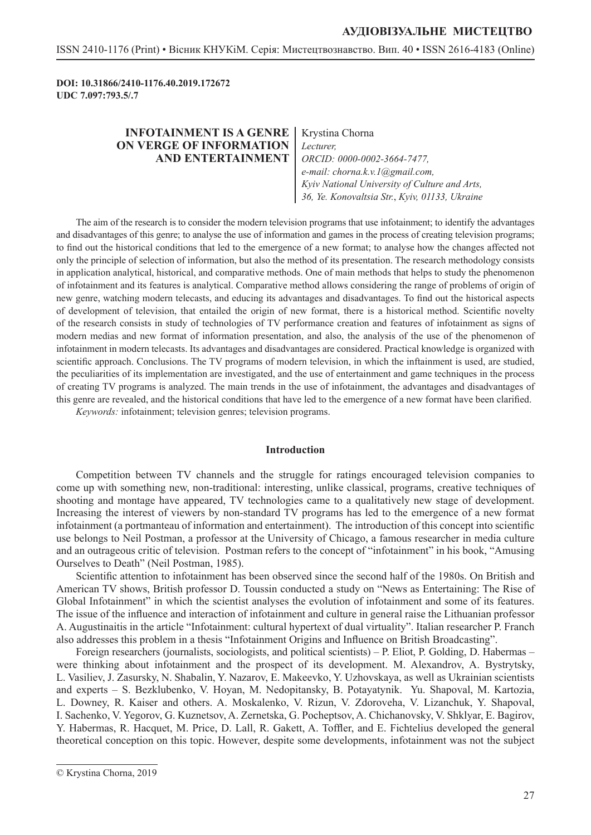**DOI: 10.31866/2410-1176.40.2019.172672 UDC 7.097:793.5/.7**

## **INFOTAINMENT IS A GENRE ON VERGE OF INFORMATION AND ENTERTAINMENT**

Krystina Chorna *Lecturer, ORCID: 0000-0002-3664-7477, e-mail: chorna.k.v.1@gmail.com, Kyiv National University of Culture and Arts, 36, Ye. Konovaltsia Str.*, *Kyiv, 01133, Ukraine*

The aim of the research is to consider the modern television programs that use infotainment; to identify the advantages and disadvantages of this genre; to analyse the use of information and games in the process of creating television programs; to find out the historical conditions that led to the emergence of a new format; to analyse how the changes affected not only the principle of selection of information, but also the method of its presentation. The research methodology consists in application analytical, historical, and comparative methods. One of main methods that helps to study the phenomenon of infotainment and its features is analytical. Comparative method allows considering the range of problems of origin of new genre, watching modern telecasts, and educing its advantages and disadvantages. To find out the historical aspects of development of television, that entailed the origin of new format, there is a historical method. Scientific novelty of the research consists in study of technologies of TV performance creation and features of infotainment as signs of modern medias and new format of information presentation, and also, the analysis of the use of the phenomenon of infotainment in modern telecasts. Its advantages and disadvantages are considered. Practical knowledge is organized with scientific approach. Conclusions. The TV programs of modern television, in which the inftainment is used, are studied, the peculiarities of its implementation are investigated, and the use of entertainment and game techniques in the process of creating TV programs is analyzed. The main trends in the use of infotainment, the advantages and disadvantages of this genre are revealed, and the historical conditions that have led to the emergence of a new format have been clarified.

*Keywords:* infotainment; television genres; television programs.

#### **Introduction**

Competition between TV channels and the struggle for ratings encouraged television companies to come up with something new, non-traditional: interesting, unlike classical, programs, creative techniques of shooting and montage have appeared, TV technologies came to a qualitatively new stage of development. Increasing the interest of viewers by non-standard TV programs has led to the emergence of a new format infotainment (a portmanteau of information and entertainment). The introduction of this concept into scientific use belongs to Neil Postman, a professor at the University of Chicago, a famous researcher in media culture and an outrageous critic of television. Postman refers to the concept of "infotainment" in his book, "Amusing Ourselves to Death" (Neil Postman, 1985).

Scientific attention to infotainment has been observed since the second half of the 1980s. On British and American TV shows, British professor D. Toussin conducted a study on "News as Entertaining: The Rise of Global Infotainment" in which the scientist analyses the evolution of infotainment and some of its features. The issue of the influence and interaction of infotainment and culture in general raise the Lithuanian professor A. Augustinaitis in the article "Infotainment: cultural hypertext of dual virtuality". Italian researcher P. Franch also addresses this problem in a thesis "Infotainment Origins and Influence on British Broadcasting".

Foreign researchers (journalists, sociologists, and political scientists) – P. Eliot, P. Golding, D. Habermas – were thinking about infotainment and the prospect of its development. M. Alexandrov, A. Bystrytsky, L. Vasiliev, J. Zasursky, N. Shabalin, Y. Nazarov, E. Makeevko, Y. Uzhovskaya, as well as Ukrainian scientists and experts – S. Bezklubenko, V. Hoyan, M. Nedopitansky, B. Potayatynik. Yu. Shapoval, M. Kartozia, L. Downey, R. Kaiser and others. A. Moskalenko, V. Rizun, V. Zdoroveha, V. Lizanchuk, Y. Shapoval, I. Sachenko, V. Yegorov, G. Kuznetsov, A. Zernetska, G. Pocheptsov, A. Chichanovsky, V. Shklyar, E. Bagirov, Y. Habermas, R. Hacquet, M. Price, D. Lall, R. Gakett, A. Toffler, and E. Fichtelius developed the general theoretical conception on this topic. However, despite some developments, infotainment was not the subject

<sup>©</sup> Krystina Chorna, 2019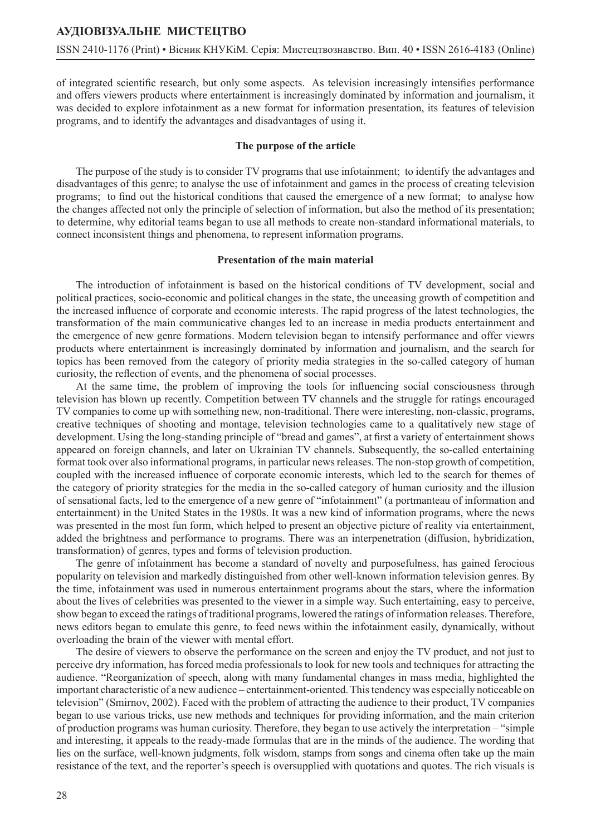of integrated scientific research, but only some aspects. As television increasingly intensifies performance and offers viewers products where entertainment is increasingly dominated by information and journalism, it was decided to explore infotainment as a new format for information presentation, its features of television programs, and to identify the advantages and disadvantages of using it.

### **The purpose of the article**

The purpose of the study is to consider TV programs that use infotainment; to identify the advantages and disadvantages of this genre; to analyse the use of infotainment and games in the process of creating television programs; to find out the historical conditions that caused the emergence of a new format; to analyse how the changes affected not only the principle of selection of information, but also the method of its presentation; to determine, why editorial teams began to use all methods to create non-standard informational materials, to connect inconsistent things and phenomena, to represent information programs.

### **Presentation of the main material**

The introduction of infotainment is based on the historical conditions of TV development, social and political practices, socio-economic and political changes in the state, the unceasing growth of competition and the increased influence of corporate and economic interests. The rapid progress of the latest technologies, the transformation of the main communicative changes led to an increase in media products entertainment and the emergence of new genre formations. Modern television began to intensify performance and offer viewrs products where entertainment is increasingly dominated by information and journalism, and the search for topics has been removed from the category of priority media strategies in the so-called category of human curiosity, the reflection of events, and the phenomena of social processes.

At the same time, the problem of improving the tools for influencing social consciousness through television has blown up recently. Competition between TV channels and the struggle for ratings encouraged TV companies to come up with something new, non-traditional. There were interesting, non-classic, programs, creative techniques of shooting and montage, television technologies came to a qualitatively new stage of development. Using the long-standing principle of "bread and games", at first a variety of entertainment shows appeared on foreign channels, and later on Ukrainian TV channels. Subsequently, the so-called entertaining format took over also informational programs, in particular news releases. The non-stop growth of competition, coupled with the increased influence of corporate economic interests, which led to the search for themes of the category of priority strategies for the media in the so-called category of human curiosity and the illusion of sensational facts, led to the emergence of a new genre of "infotainment" (a portmanteau of information and entertainment) in the United States in the 1980s. It was a new kind of information programs, where the news was presented in the most fun form, which helped to present an objective picture of reality via entertainment, added the brightness and performance to programs. There was an interpenetration (diffusion, hybridization, transformation) of genres, types and forms of television production.

The genre of infotainment has become a standard of novelty and purposefulness, has gained ferocious popularity on television and markedly distinguished from other well-known information television genres. By the time, infotainment was used in numerous entertainment programs about the stars, where the information about the lives of celebrities was presented to the viewer in a simple way. Such entertaining, easy to perceive, show began to exceed the ratings of traditional programs, lowered the ratings of information releases. Therefore, news editors began to emulate this genre, to feed news within the infotainment easily, dynamically, without overloading the brain of the viewer with mental effort.

The desire of viewers to observe the performance on the screen and enjoy the TV product, and not just to perceive dry information, has forced media professionals to look for new tools and techniques for attracting the audience. "Reorganization of speech, along with many fundamental changes in mass media, highlighted the important characteristic of a new audience – entertainment-oriented. This tendency was especially noticeable on television" (Smirnov, 2002). Faced with the problem of attracting the audience to their product, TV companies began to use various tricks, use new methods and techniques for providing information, and the main criterion of production programs was human curiosity. Therefore, they began to use actively the interpretation – "simple and interesting, it appeals to the ready-made formulas that are in the minds of the audience. The wording that lies on the surface, well-known judgments, folk wisdom, stamps from songs and cinema often take up the main resistance of the text, and the reporter's speech is oversupplied with quotations and quotes. The rich visuals is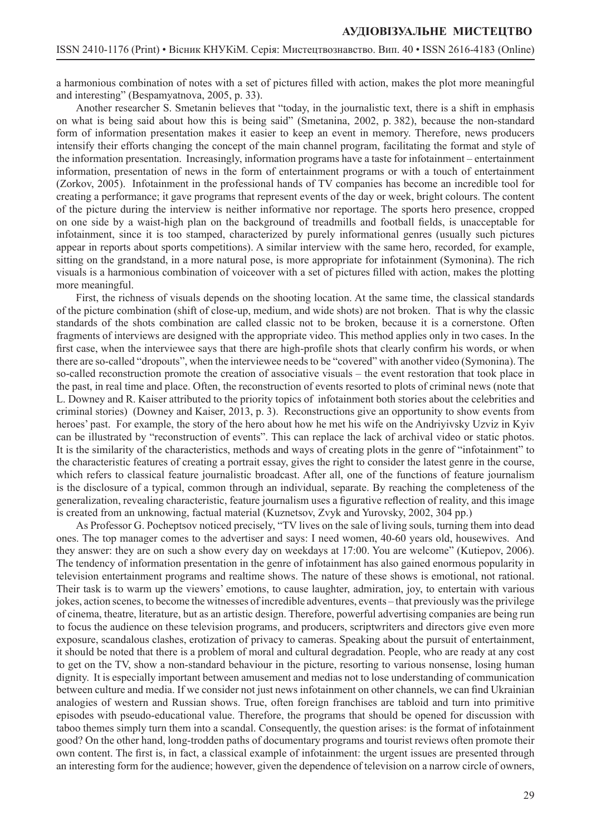a harmonious combination of notes with a set of pictures filled with action, makes the plot more meaningful and interesting" (Bespamyatnova, 2005, p. 33).

Another researcher S. Smetanin believes that "today, in the journalistic text, there is a shift in emphasis on what is being said about how this is being said" (Smetanina, 2002, p. 382), because the non-standard form of information presentation makes it easier to keep an event in memory. Therefore, news producers intensify their efforts changing the concept of the main channel program, facilitating the format and style of the information presentation. Increasingly, information programs have a taste for infotainment – entertainment information, presentation of news in the form of entertainment programs or with a touch of entertainment (Zorkov, 2005). Infotainment in the professional hands of TV companies has become an incredible tool for creating a performance; it gave programs that represent events of the day or week, bright colours. The content of the picture during the interview is neither informative nor reportage. The sports hero presence, cropped on one side by a waist-high plan on the background of treadmills and football fields, is unacceptable for infotainment, since it is too stamped, characterized by purely informational genres (usually such pictures appear in reports about sports competitions). A similar interview with the same hero, recorded, for example, sitting on the grandstand, in a more natural pose, is more appropriate for infotainment (Symonina). The rich visuals is a harmonious combination of voiceover with a set of pictures filled with action, makes the plotting more meaningful.

First, the richness of visuals depends on the shooting location. At the same time, the classical standards of the picture combination (shift of close-up, medium, and wide shots) are not broken. That is why the classic standards of the shots combination are called classic not to be broken, because it is a cornerstone. Often fragments of interviews are designed with the appropriate video. This method applies only in two cases. In the first case, when the interviewee says that there are high-profile shots that clearly confirm his words, or when there are so-called "dropouts", when the interviewee needs to be "covered" with another video (Symonina). The so-called reconstruction promote the creation of associative visuals – the event restoration that took place in the past, in real time and place. Often, the reconstruction of events resorted to plots of criminal news (note that L. Downey and R. Kaiser attributed to the priority topics of infotainment both stories about the celebrities and criminal stories) (Downey and Kaiser, 2013, p. 3). Reconstructions give an opportunity to show events from heroes' past. For example, the story of the hero about how he met his wife on the Andriyivsky Uzviz in Kyiv can be illustrated by "reconstruction of events". This can replace the lack of archival video or static photos. It is the similarity of the characteristics, methods and ways of creating plots in the genre of "infotainment" to the characteristic features of creating a portrait essay, gives the right to consider the latest genre in the course, which refers to classical feature journalistic broadcast. After all, one of the functions of feature journalism is the disclosure of a typical, common through an individual, separate. By reaching the completeness of the generalization, revealing characteristic, feature journalism uses a figurative reflection of reality, and this image is created from an unknowing, factual material (Kuznetsov, Zvyk and Yurovsky, 2002, 304 pp.)

As Professor G. Pocheptsov noticed precisely, "TV lives on the sale of living souls, turning them into dead ones. The top manager comes to the advertiser and says: I need women, 40-60 years old, housewives. And they answer: they are on such a show every day on weekdays at 17:00. You are welcome" (Kutiepov, 2006). The tendency of information presentation in the genre of infotainment has also gained enormous popularity in television entertainment programs and realtime shows. The nature of these shows is emotional, not rational. Their task is to warm up the viewers' emotions, to cause laughter, admiration, joy, to entertain with various jokes, action scenes, to become the witnesses of incredible adventures, events – that previously was the privilege of cinema, theatre, literature, but as an artistic design. Therefore, powerful advertising companies are being run to focus the audience on these television programs, and producers, scriptwriters and directors give even more exposure, scandalous clashes, erotization of privacy to cameras. Speaking about the pursuit of entertainment, it should be noted that there is a problem of moral and cultural degradation. People, who are ready at any cost to get on the TV, show a non-standard behaviour in the picture, resorting to various nonsense, losing human dignity. It is especially important between amusement and medias not to lose understanding of communication between culture and media. If we consider not just news infotainment on other channels, we can find Ukrainian analogies of western and Russian shows. True, often foreign franchises are tabloid and turn into primitive episodes with pseudo-educational value. Therefore, the programs that should be opened for discussion with taboo themes simply turn them into a scandal. Consequently, the question arises: is the format of infotainment good? On the other hand, long-trodden paths of documentary programs and tourist reviews often promote their own content. The first is, in fact, a classical example of infotainment: the urgent issues are presented through an interesting form for the audience; however, given the dependence of television on a narrow circle of owners,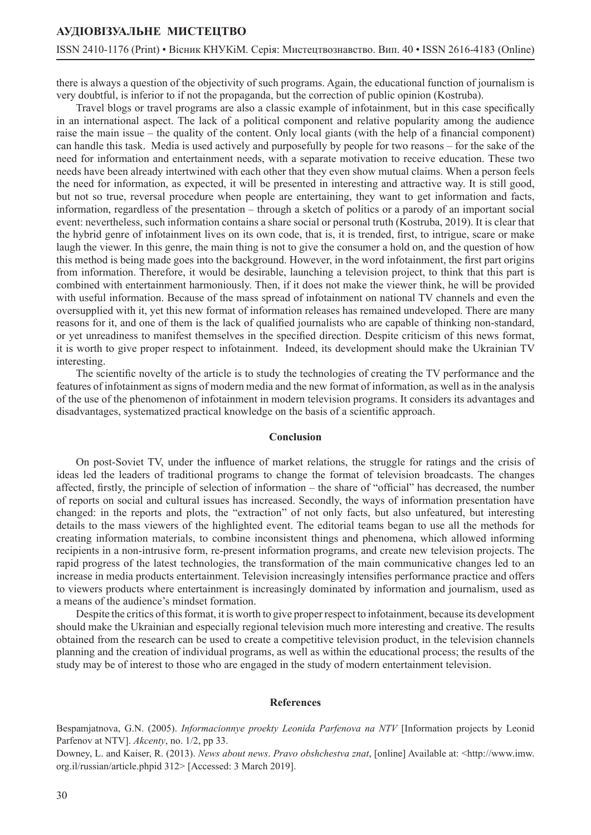### **АУДІОВІЗУАЛЬНЕ МИСТЕЦТВО**

### ISSN 2410-1176 (Print) • Вісник КНУКіМ. Серія: Мистецтвознавство. Вип. 40 • ISSN 2616-4183 (Online)

there is always a question of the objectivity of such programs. Again, the educational function of journalism is very doubtful, is inferior to if not the propaganda, but the correction of public opinion (Kostruba).

Travel blogs or travel programs are also a classic example of infotainment, but in this case specifically in an international aspect. The lack of a political component and relative popularity among the audience raise the main issue – the quality of the content. Only local giants (with the help of a financial component) can handle this task. Media is used actively and purposefully by people for two reasons – for the sake of the need for information and entertainment needs, with a separate motivation to receive education. These two needs have been already intertwined with each other that they even show mutual claims. When a person feels the need for information, as expected, it will be presented in interesting and attractive way. It is still good, but not so true, reversal procedure when people are entertaining, they want to get information and facts, information, regardless of the presentation – through a sketch of politics or a parody of an important social event: nevertheless, such information contains a share social or personal truth (Kostruba, 2019). It is clear that the hybrid genre of infotainment lives on its own code, that is, it is trended, first, to intrigue, scare or make laugh the viewer. In this genre, the main thing is not to give the consumer a hold on, and the question of how this method is being made goes into the background. However, in the word infotainment, the first part origins from information. Therefore, it would be desirable, launching a television project, to think that this part is combined with entertainment harmoniously. Then, if it does not make the viewer think, he will be provided with useful information. Because of the mass spread of infotainment on national TV channels and even the oversupplied with it, yet this new format of information releases has remained undeveloped. There are many reasons for it, and one of them is the lack of qualified journalists who are capable of thinking non-standard, or yet unreadiness to manifest themselves in the specified direction. Despite criticism of this news format, it is worth to give proper respect to infotainment. Indeed, its development should make the Ukrainian TV interesting.

The scientific novelty of the article is to study the technologies of creating the TV performance and the features of infotainment as signs of modern media and the new format of information, as well as in the analysis of the use of the phenomenon of infotainment in modern television programs. It considers its advantages and disadvantages, systematized practical knowledge on the basis of a scientific approach.

#### **Conclusion**

On post-Soviet TV, under the influence of market relations, the struggle for ratings and the crisis of ideas led the leaders of traditional programs to change the format of television broadcasts. The changes affected, firstly, the principle of selection of information – the share of "official" has decreased, the number of reports on social and cultural issues has increased. Secondly, the ways of information presentation have changed: in the reports and plots, the "extraction" of not only facts, but also unfeatured, but interesting details to the mass viewers of the highlighted event. The editorial teams began to use all the methods for creating information materials, to combine inconsistent things and phenomena, which allowed informing recipients in a non-intrusive form, re-present information programs, and create new television projects. The rapid progress of the latest technologies, the transformation of the main communicative changes led to an increase in media products entertainment. Television increasingly intensifies performance practice and offers to viewers products where entertainment is increasingly dominated by information and journalism, used as a means of the audience's mindset formation.

Despite the critics of this format, it is worth to give proper respect to infotainment, because its development should make the Ukrainian and especially regional television much more interesting and creative. The results obtained from the research can be used to create a competitive television product, in the television channels planning and the creation of individual programs, as well as within the educational process; the results of the study may be of interest to those who are engaged in the study of modern entertainment television.

#### **References**

Bespamjatnova, G.N. (2005). *Informacionnye proekty Leonida Parfenova na NTV* [Information projects by Leonid Parfenov at NTV]. *Akcenty*, no. 1/2, pp 33.

Downey, L. and Kaiser, R. (2013). *News about news*. *Pravo obshchestva znat*, [online] Available at: <http://www.imw. org.il/russian/article.phpid 312> [Accessed: 3 March 2019].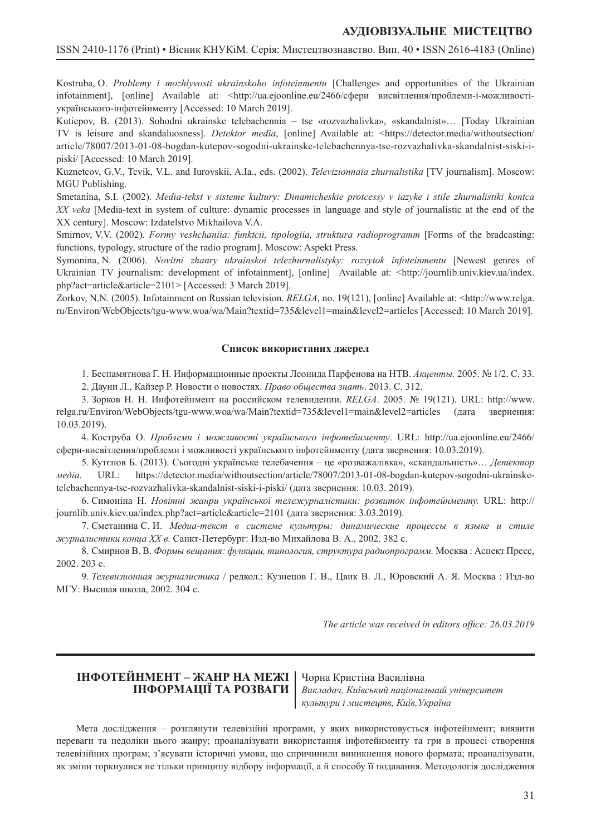### **АУДІОВІЗУАЛЬНЕ МИСТЕЦТВО**

Kostruba, O. *Problemy i mozhlyvosti ukrainskoho infoteinmentu* [Challenges and opportunities of the Ukrainian infotainment], [online] Available at: <http://ua.ejoonline.eu/2466/сфери висвітлення/проблеми-і-можливостіукраїнського-інфотейнменту [Accessed: 10 March 2019].

Kutiepov, B. (2013). Sohodni ukrainske telebachennia – tse «rozvazhalivka», «skandalnist»… [Today Ukrainian TV is leisure and skandaluosness]. *Detektor media*, [online] Available at: <https://detector.media/withoutsection/ article/78007/2013-01-08-bogdan-kutepov-sogodni-ukrainske-telebachennya-tse-rozvazhalivka-skandalnist-siski-ipiski/ [Accessed: 10 March 2019].

Kuznetcov, G.V., Tcvik, V.L. and Iurovskii, A.Ia., eds. (2002). *Televizionnaia zhurnalistika* [TV journalism]. Moscow: MGU Publishing.

Smetanina, S.I. (2002). *Media-tekst v sisteme kultury: Dinamicheskie protcessy v iazyke i stile zhurnalistiki kontca XX veka* [Media-text in system of culture: dynamic processes in language and style of journalistic at the end of the XX century]. Moscow: Izdatelstvo Mikhailova V.A.

Smirnov, V.V. (2002). *Formy veshchaniia: funktcii, tipologiia, struktura radioprogramm* [Forms of the bradcasting: functions, typology, structure of the radio program]. Moscow: Aspekt Press.

Symonina, N. (2006). *Novitni zhanry ukrainskoi telezhurnalistyky: rozvytok infoteinmentu* [Newest genres of Ukrainian TV journalism: development of infotainment], [online] Available at: <http://journlib.univ.kiev.ua/index. php?act=article&article=2101> [Accessed: 3 March 2019].

Zorkov, N.N. (2005). Infotainment on Russian television. *RELGA*, no. 19(121), [online] Available at: <http://www.relga. ru/Environ/WebObjects/tgu-www.woa/wa/Main?textid=735&level1=main&level2=articles [Accessed: 10 March 2019].

#### **Список використаних джерел**

1. Беспамятнова Г. Н. Информационные проекты Леонида Парфенова на НТВ. *Акценты.* 2005. № 1/2. С. 33.

2. Дауни Л., Кайзер Р. Новости о новостях. *Право общества знать*. 2013. С. 312.

3. Зорков Н. Н. Инфотейнмент на российском телевидении. *RELGA*. 2005. № 19(121). URL: http://www. relga.ru/Environ/WebObjects/tgu-www.woa/wa/Main?textid=735&level1=main&level2=articles (дата звернення: 10.03.2019).

4. Коструба О. *Проблеми і можливості українського інфотейнменту*. URL: http://ua.ejoonline.eu/2466/ сфери-висвітлення/проблеми і можливості українського інфотейнменту (дата звернення: 10.03.2019).

5. Кутєпов Б. (2013). Сьогодні українське телебачення – це «розважалівка», «скандальність»… *Детектор медіа*. URL: https://detector.media/withoutsection/article/78007/2013-01-08-bogdan-kutepov-sogodni-ukrainsketelebachennya-tse-rozvazhalivka-skandalnist-siski-i-piski/ (дата звернення: 10.03. 2019).

6. Симоніна Н. *Новітні жанри української тележурналістики: розвиток інфотейнменту.* URL: http:// journlib.univ.kiev.ua/index.php?act=article&article=2101 (дата звернення: 3.03.2019).

7. Сметанина С. И. *Медиа-текст в системе культуры: динамические процессы в языке и стиле журналистики конца XX в.* Санкт-Петербург: Изд-во Михайлова В. А., 2002. 382 c.

8. Смирнов В. В. *Формы вещания: функции, типология, структура радиопрограмм.* Москва : Аспект Пресс, 2002. 203 с.

9. *Телевизионная журналистика* / редкол.: Кузнецов Г. В., Цвик В. Л., Юровский А. Я. Москва : Изд-во МГУ: Высшая школа, 2002. 304 с.

*The article was received in editors office: 26.03.2019*

## **ІНФОТЕЙНМЕНТ – ЖАНР НА МЕЖІ ІНФОРМАЦІЇ ТА РОЗВАГИ**

Чорна Кристіна Василівна *Викладач, Київський національний університет культури і мистецтв, Київ,Україна*

Мета дослідження – розглянути телевізійні програми, у яких використовується інфотейнмент; виявити переваги та недоліки цього жанру; проаналізувати використання інфотейнменту та гри в процесі створення телевізійних програм; з'ясувати історичні умови, що спричинили виникнення нового формата; проаналізувати, як зміни торкнулися не тільки принципу відбору інформації, а й способу її подавання. Методологія дослідження